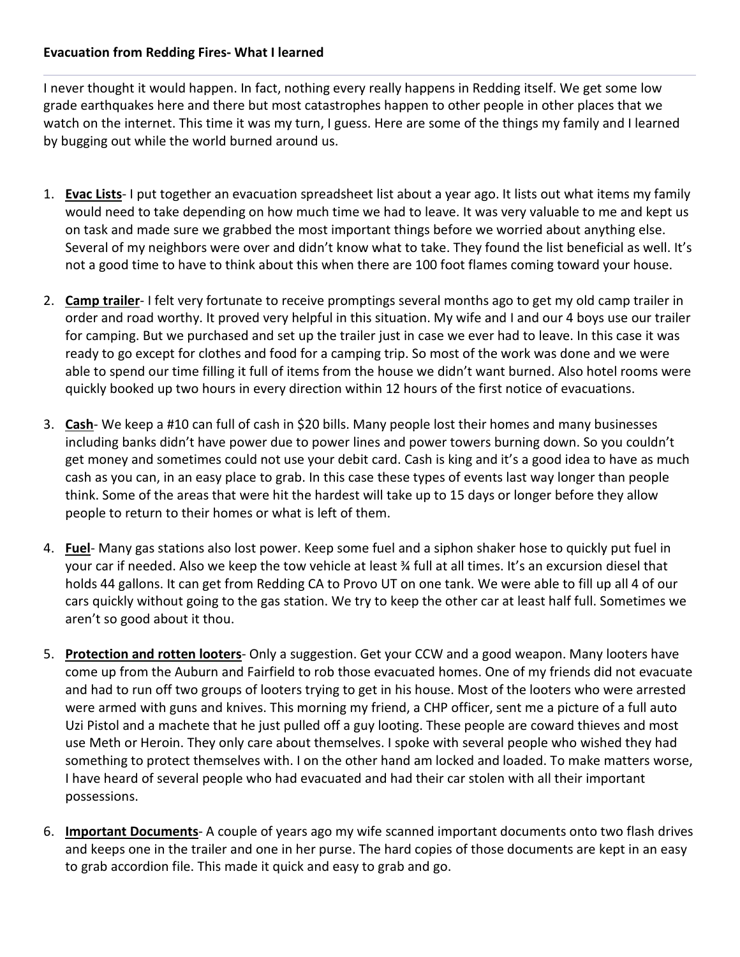## **Evacuation from Redding Fires- What I learned**

I never thought it would happen. In fact, nothing every really happens in Redding itself. We get some low grade earthquakes here and there but most catastrophes happen to other people in other places that we watch on the internet. This time it was my turn, I guess. Here are some of the things my family and I learned by bugging out while the world burned around us.

- 1. **Evac Lists** I put together an evacuation spreadsheet list about a year ago. It lists out what items my family would need to take depending on how much time we had to leave. It was very valuable to me and kept us on task and made sure we grabbed the most important things before we worried about anything else. Several of my neighbors were over and didn't know what to take. They found the list beneficial as well. It's not a good time to have to think about this when there are 100 foot flames coming toward your house.
- 2. **Camp trailer** I felt very fortunate to receive promptings several months ago to get my old camp trailer in order and road worthy. It proved very helpful in this situation. My wife and I and our 4 boys use our trailer for camping. But we purchased and set up the trailer just in case we ever had to leave. In this case it was ready to go except for clothes and food for a camping trip. So most of the work was done and we were able to spend our time filling it full of items from the house we didn't want burned. Also hotel rooms were quickly booked up two hours in every direction within 12 hours of the first notice of evacuations.
- 3. **Cash** We keep a #10 can full of cash in \$20 bills. Many people lost their homes and many businesses including banks didn't have power due to power lines and power towers burning down. So you couldn't get money and sometimes could not use your debit card. Cash is king and it's a good idea to have as much cash as you can, in an easy place to grab. In this case these types of events last way longer than people think. Some of the areas that were hit the hardest will take up to 15 days or longer before they allow people to return to their homes or what is left of them.
- 4. **Fuel** Many gas stations also lost power. Keep some fuel and a siphon shaker hose to quickly put fuel in your car if needed. Also we keep the tow vehicle at least ¾ full at all times. It's an excursion diesel that holds 44 gallons. It can get from Redding CA to Provo UT on one tank. We were able to fill up all 4 of our cars quickly without going to the gas station. We try to keep the other car at least half full. Sometimes we aren't so good about it thou.
- 5. **Protection and rotten looters** Only a suggestion. Get your CCW and a good weapon. Many looters have come up from the Auburn and Fairfield to rob those evacuated homes. One of my friends did not evacuate and had to run off two groups of looters trying to get in his house. Most of the looters who were arrested were armed with guns and knives. This morning my friend, a CHP officer, sent me a picture of a full auto Uzi Pistol and a machete that he just pulled off a guy looting. These people are coward thieves and most use Meth or Heroin. They only care about themselves. I spoke with several people who wished they had something to protect themselves with. I on the other hand am locked and loaded. To make matters worse, I have heard of several people who had evacuated and had their car stolen with all their important possessions.
- 6. **Important Documents** A couple of years ago my wife scanned important documents onto two flash drives and keeps one in the trailer and one in her purse. The hard copies of those documents are kept in an easy to grab accordion file. This made it quick and easy to grab and go.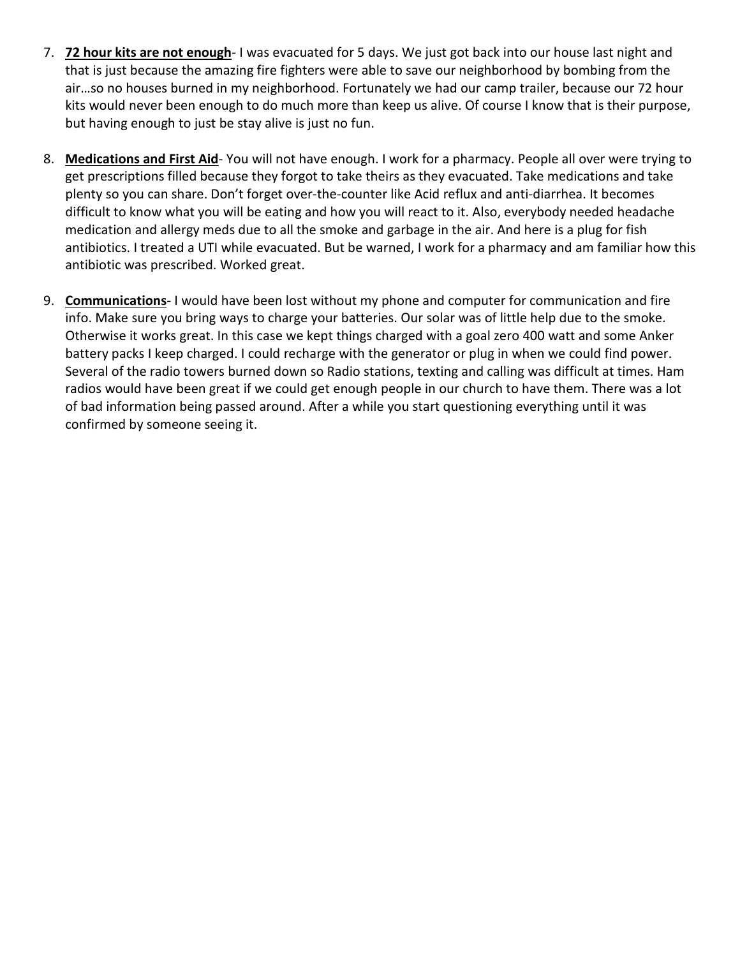- 7. **72 hour kits are not enough** I was evacuated for 5 days. We just got back into our house last night and that is just because the amazing fire fighters were able to save our neighborhood by bombing from the air…so no houses burned in my neighborhood. Fortunately we had our camp trailer, because our 72 hour kits would never been enough to do much more than keep us alive. Of course I know that is their purpose, but having enough to just be stay alive is just no fun.
- 8. **Medications and First Aid** You will not have enough. I work for a pharmacy. People all over were trying to get prescriptions filled because they forgot to take theirs as they evacuated. Take medications and take plenty so you can share. Don't forget over-the-counter like Acid reflux and anti-diarrhea. It becomes difficult to know what you will be eating and how you will react to it. Also, everybody needed headache medication and allergy meds due to all the smoke and garbage in the air. And here is a plug for fish antibiotics. I treated a UTI while evacuated. But be warned, I work for a pharmacy and am familiar how this antibiotic was prescribed. Worked great.
- 9. **Communications** I would have been lost without my phone and computer for communication and fire info. Make sure you bring ways to charge your batteries. Our solar was of little help due to the smoke. Otherwise it works great. In this case we kept things charged with a goal zero 400 watt and some Anker battery packs I keep charged. I could recharge with the generator or plug in when we could find power. Several of the radio towers burned down so Radio stations, texting and calling was difficult at times. Ham radios would have been great if we could get enough people in our church to have them. There was a lot of bad information being passed around. After a while you start questioning everything until it was confirmed by someone seeing it.